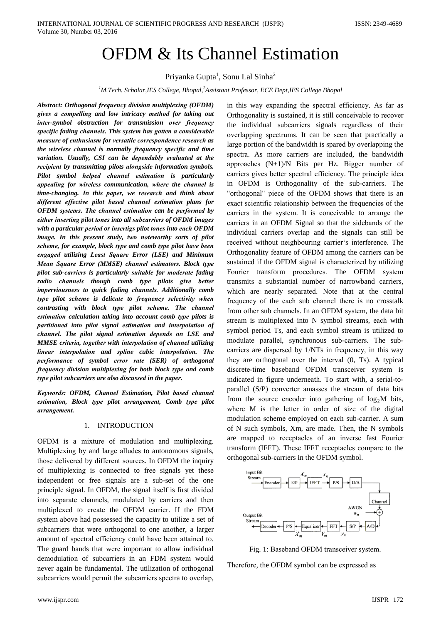# **OFDM & Its Channel Estimation**

Priyanka Gupta<sup>1</sup>, Sonu Lal Sinha<sup>2</sup>

<sup>1</sup>M.Tech. Scholar, IES College, Bhopal,  $^{2}$ Assistant Professor, ECE Dept, IES College Bhopal

Abstract: Orthogonal frequency division multiplexing (OFDM) gives a compelling and low intricacy method for taking out inter-symbol obstruction for transmission over frequency specific fading channels. This system has gotten a considerable measure of enthusiasm for versatile correspondence research as the wireless channel is normally frequency specific and time variation. Usually, CSI can be dependably evaluated at the recipient by transmitting pilots alongside information symbols. Pilot symbol helped channel estimation is particularly appealing for wireless communication, where the channel is time-changing. In this paper, we research and think about different effective pilot based channel estimation plans for OFDM systems. The channel estimation can be performed by either inserting pilot tones into all subcarriers of OFDM images with a particular period or insertigs pilot tones into each OFDM image. In this present study, two noteworthy sorts of pilot scheme, for example, block type and comb type pilot have been engaged utilizing Least Square Error (LSE) and Minimum Mean Square Error (MMSE) channel estimators. Block type pilot sub-carriers is particularly suitable for moderate fading radio channels though comb type pilots give better imperviousness to quick fading channels. Additionally comb type pilot scheme is delicate to frequency selectivity when contrasting with block type pilot scheme. The channel estimation calculation taking into account comb type pilots is partitioned into pilot signal estimation and interpolation of channel. The pilot signal estimation depends on LSE and MMSE criteria, together with interpolation of channel utilizing linear interpolation and spline cubic interpolation. The performance of symbol error rate (SER) of orthogonal frequency division multiplexing for both block type and comb type pilot subcarriers are also discussed in the paper.

Keywords: OFDM, Channel Estimation, Pilot based channel estimation, Block type pilot arrangement, Comb type pilot arrangement.

## 1. INTRODUCTION

OFDM is a mixture of modulation and multiplexing. Multiplexing by and large alludes to autonomous signals, those delivered by different sources. In OFDM the inquiry of multiplexing is connected to free signals yet these independent or free signals are a sub-set of the one principle signal. In OFDM, the signal itself is first divided into separate channels, modulated by carriers and then multiplexed to create the OFDM carrier. If the FDM system above had possessed the capacity to utilize a set of subcarriers that were orthogonal to one another, a larger amount of spectral efficiency could have been attained to. The guard bands that were important to allow individual demodulation of subcarriers in an FDM system would never again be fundamental. The utilization of orthogonal subcarriers would permit the subcarriers spectra to overlap,

in this way expanding the spectral efficiency. As far as Orthogonality is sustained, it is still conceivable to recover the individual subcarriers signals regardless of their overlapping spectrums. It can be seen that practically a large portion of the bandwidth is spared by overlapping the spectra. As more carriers are included, the bandwidth approaches  $(N+1)/N$  Bits per Hz. Bigger number of carriers gives better spectral efficiency. The principle idea in OFDM is Orthogonality of the sub-carriers. The "orthogonal" piece of the OFDM shows that there is an exact scientific relationship between the frequencies of the carriers in the system. It is conceivable to arrange the carriers in an OFDM Signal so that the sidebands of the individual carriers overlap and the signals can still be received without neighbouring carrier's interference. The Orthogonality feature of OFDM among the carriers can be sustained if the OFDM signal is characterized by utilizing Fourier transform procedures. The OFDM system transmits a substantial number of narrowband carriers, which are nearly separated. Note that at the central frequency of the each sub channel there is no crosstalk from other sub channels. In an OFDM system, the data bit stream is multiplexed into N symbol streams, each with symbol period Ts, and each symbol stream is utilized to modulate parallel, synchronous sub-carriers. The subcarriers are dispersed by 1/NTs in frequency, in this way they are orthogonal over the interval (0, Ts). A typical discrete-time baseband OFDM transceiver system is indicated in figure underneath. To start with, a serial-toparallel (S/P) converter amasses the stream of data bits from the source encoder into gathering of  $log_2 M$  bits, where M is the letter in order of size of the digital modulation scheme employed on each sub-carrier. A sum of N such symbols, Xm, are made. Then, the N symbols are mapped to receptacles of an inverse fast Fourier transform (IFFT). These IFFT receptacles compare to the orthogonal sub-carriers in the OFDM symbol.



Fig. 1: Baseband OFDM transceiver system.

Therefore, the OFDM symbol can be expressed as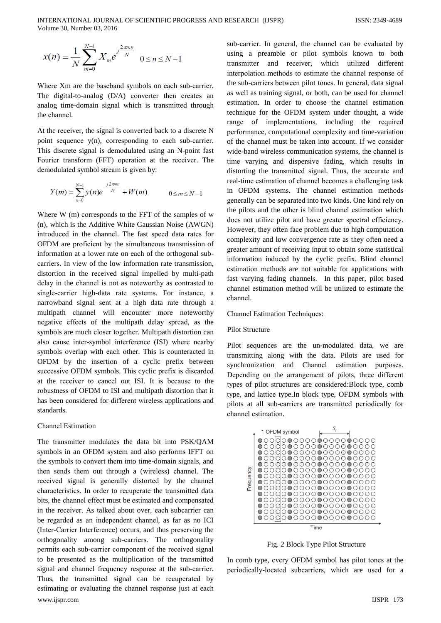$$
x(n) = \frac{1}{N} \sum_{m=0}^{N-1} X_m e^{j\frac{2\pi m n}{N}} \quad 0 \le n \le N-1
$$

Where Xm are the baseband symbols on each sub-carrier. The digital-to-analog  $(D/A)$  converter then creates an analog time-domain signal which is transmitted through the channel.

At the receiver, the signal is converted back to a discrete N point sequence y(n), corresponding to each sub-carrier. This discrete signal is demodulated using an N-point fast Fourier transform (FFT) operation at the receiver. The demodulated symbol stream is given by:

$$
Y(m) = \sum_{n=0}^{N-1} y(n)e^{\frac{j2\pi m n}{N}} + W(m) \qquad 0 \le m \le N-1
$$

Where  $W$  (m) corresponds to the FFT of the samples of  $w$ (n), which is the Additive White Gaussian Noise (AWGN) introduced in the channel. The fast speed data rates for OFDM are proficient by the simultaneous transmission of information at a lower rate on each of the orthogonal subcarriers. In view of the low information rate transmission, distortion in the received signal impelled by multi-path delay in the channel is not as noteworthy as contrasted to single-carrier high-data rate systems. For instance, a narrowband signal sent at a high data rate through a multipath channel will encounter more noteworthy negative effects of the multipath delay spread, as the symbols are much closer together. Multipath distortion can also cause inter-symbol interference (ISI) where nearby symbols overlap with each other. This is counteracted in OFDM by the insertion of a cyclic prefix between successive OFDM symbols. This cyclic prefix is discarded at the receiver to cancel out ISI. It is because to the robustness of OFDM to ISI and multipath distortion that it has been considered for different wireless applications and standards

## **Channel Estimation**

The transmitter modulates the data bit into PSK/QAM symbols in an OFDM system and also performs IFFT on the symbols to convert them into time-domain signals, and then sends them out through a (wireless) channel. The received signal is generally distorted by the channel characteristics. In order to recuperate the transmitted data bits, the channel effect must be estimated and compensated in the receiver. As talked about over, each subcarrier can be regarded as an independent channel, as far as no ICI (Inter-Carrier Interference) occurs, and thus preserving the orthogonality among sub-carriers. The orthogonality permits each sub-carrier component of the received signal to be presented as the multiplication of the transmitted signal and channel frequency response at the sub-carrier. Thus, the transmitted signal can be recuperated by estimating or evaluating the channel response just at each www.ijspr.com

sub-carrier. In general, the channel can be evaluated by using a preamble or pilot symbols known to both transmitter and receiver, which utilized different interpolation methods to estimate the channel response of the sub-carriers between pilot tones. In general, data signal as well as training signal, or both, can be used for channel estimation. In order to choose the channel estimation technique for the OFDM system under thought, a wide range of implementations, including the required performance, computational complexity and time-variation of the channel must be taken into account. If we consider wide-band wireless communication systems, the channel is time varying and dispersive fading, which results in distorting the transmitted signal. Thus, the accurate and real-time estimation of channel becomes a challenging task in OFDM systems. The channel estimation methods generally can be separated into two kinds. One kind rely on the pilots and the other is blind channel estimation which does not utilize pilot and have greater spectral efficiency. However, they often face problem due to high computation complexity and low convergence rate as they often need a greater amount of receiving input to obtain some statistical information induced by the cyclic prefix. Blind channel estimation methods are not suitable for applications with fast varying fading channels. In this paper, pilot based channel estimation method will be utilized to estimate the channel.

**Channel Estimation Techniques:** 

## Pilot Structure

Pilot sequences are the un-modulated data, we are transmitting along with the data. Pilots are used for synchronization and Channel estimation purposes. Depending on the arrangement of pilots, three different types of pilot structures are considered: Block type, comb type, and lattice type.In block type, OFDM symbols with pilots at all sub-carriers are transmitted periodically for channel estimation.



Fig. 2 Block Type Pilot Structure

In comb type, every OFDM symbol has pilot tones at the periodically-located subcarriers, which are used for a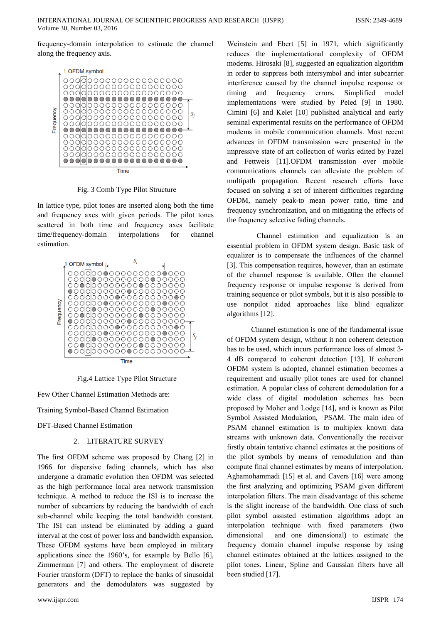frequency-domain interpolation to estimate the channel along the frequency axis.



Fig. 3 Comb Type Pilot Structure

In lattice type, pilot tones are inserted along both the time and frequency axes with given periods. The pilot tones scattered in both time and frequency axes facilitate time/frequency-domain interpolations channel  $for$ estimation.



Fig.4 Lattice Type Pilot Structure

Few Other Channel Estimation Methods are:

**Training Symbol-Based Channel Estimation** 

**DFT-Based Channel Estimation** 

## 2. LITERATURE SURVEY

The first OFDM scheme was proposed by Chang [2] in 1966 for dispersive fading channels, which has also undergone a dramatic evolution then OFDM was selected as the high performance local area network transmission technique. A method to reduce the ISI is to increase the number of subcarriers by reducing the bandwidth of each sub-channel while keeping the total bandwidth constant. The ISI can instead be eliminated by adding a guard interval at the cost of power loss and bandwidth expansion. These OFDM systems have been employed in military applications since the 1960's, for example by Bello [6], Zimmerman [7] and others. The employment of discrete Fourier transform (DFT) to replace the banks of sinusoidal generators and the demodulators was suggested by

Weinstein and Ebert [5] in 1971, which significantly reduces the implementational complexity of OFDM modems. Hirosaki [8], suggested an equalization algorithm in order to suppress both intersymbol and inter subcarrier interference caused by the channel impulse response or Simplified model timing and frequency errors. implementations were studied by Peled [9] in 1980. Cimini [6] and Kelet [10] published analytical and early seminal experimental results on the performance of OFDM modems in mobile communication channels. Most recent advances in OFDM transmission were presented in the impressive state of art collection of works edited by Fazel and Fettweis [11].OFDM transmission over mobile communications channels can alleviate the problem of multipath propagation. Recent research efforts have focused on solving a set of inherent difficulties regarding OFDM, namely peak-to mean power ratio, time and frequency synchronization, and on mitigating the effects of the frequency selective fading channels.

Channel estimation and equalization is an essential problem in OFDM system design. Basic task of equalizer is to compensate the influences of the channel [3]. This compensation requires, however, than an estimate of the channel response is available. Often the channel frequency response or impulse response is derived from training sequence or pilot symbols, but it is also possible to use nonpilot aided approaches like blind equalizer algorithms [12].

Channel estimation is one of the fundamental issue of OFDM system design, without it non coherent detection has to be used, which incurs performance loss of almost 3-4 dB compared to coherent detection [13]. If coherent OFDM system is adopted, channel estimation becomes a requirement and usually pilot tones are used for channel estimation. A popular class of coherent demodulation for a wide class of digital modulation schemes has been proposed by Moher and Lodge [14], and is known as Pilot Symbol Assisted Modulation. PSAM. The main idea of PSAM channel estimation is to multiplex known data streams with unknown data. Conventionally the receiver firstly obtain tentative channel estimates at the positions of the pilot symbols by means of remodulation and than compute final channel estimates by means of interpolation. Aghamohammadi [15] et al. and Cavers [16] were among the first analyzing and optimizing PSAM given different interpolation filters. The main disadvantage of this scheme is the slight increase of the bandwidth. One class of such pilot symbol assisted estimation algorithms adopt an interpolation technique with fixed parameters (two and one dimensional) to estimate the dimensional frequency domain channel impulse response by using channel estimates obtained at the lattices assigned to the pilot tones. Linear, Spline and Gaussian filters have all been studied [17].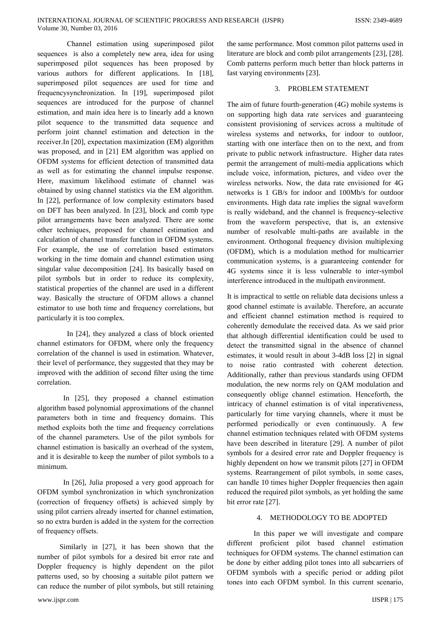Channel estimation using superimposed pilot sequences is also a completely new area, idea for using superimposed pilot sequences has been proposed by various authors for different applications. In [18], superimposed pilot sequences are used for time and frequencysynchronization. In [19], superimposed pilot sequences are introduced for the purpose of channel estimation, and main idea here is to linearly add a known pilot sequence to the transmitted data sequence and perform joint channel estimation and detection in the receiver.In [20], expectation maximization (EM) algorithm was proposed, and in [21] EM algorithm was applied on OFDM systems for efficient detection of transmitted data as well as for estimating the channel impulse response. Here, maximum likelihood estimate of channel was obtained by using channel statistics via the EM algorithm. In [22], performance of low complexity estimators based on DFT has been analyzed. In [23], block and comb type pilot arrangements have been analyzed. There are some other techniques, proposed for channel estimation and calculation of channel transfer function in OFDM systems. For example, the use of correlation based estimators working in the time domain and channel estimation using singular value decomposition [24]. Its basically based on pilot symbols but in order to reduce its complexity, statistical properties of the channel are used in a different way. Basically the structure of OFDM allows a channel estimator to use both time and frequency correlations, but particularly it is too complex.

In [24], they analyzed a class of block oriented channel estimators for OFDM, where only the frequency correlation of the channel is used in estimation. Whatever, their level of performance, they suggested that they may be improved with the addition of second filter using the time correlation.

In  $[25]$ , they proposed a channel estimation algorithm based polynomial approximations of the channel parameters both in time and frequency domains. This method exploits both the time and frequency correlations of the channel parameters. Use of the pilot symbols for channel estimation is basically an overhead of the system, and it is desirable to keep the number of pilot symbols to a minimum.

In [26], Julia proposed a very good approach for OFDM symbol synchronization in which synchronization (correction of frequency offsets) is achieved simply by using pilot carriers already inserted for channel estimation, so no extra burden is added in the system for the correction of frequency offsets.

Similarly in [27], it has been shown that the number of pilot symbols for a desired bit error rate and Doppler frequency is highly dependent on the pilot patterns used, so by choosing a suitable pilot pattern we can reduce the number of pilot symbols, but still retaining

www.ijspr.com

the same performance. Most common pilot patterns used in literature are block and comb pilot arrangements [23], [28]. Comb patterns perform much better than block patterns in fast varying environments [23].

## 3. PROBLEM STATEMENT

The aim of future fourth-generation (4G) mobile systems is on supporting high data rate services and guaranteeing consistent provisioning of services across a multitude of wireless systems and networks, for indoor to outdoor, starting with one interface then on to the next, and from private to public network infrastructure. Higher data rates permit the arrangement of multi-media applications which include voice, information, pictures, and video over the wireless networks. Now, the data rate envisioned for 4G networks is 1 GB/s for indoor and 100Mb/s for outdoor environments. High data rate implies the signal waveform is really wideband, and the channel is frequency-selective from the waveform perspective, that is, an extensive number of resolvable multi-paths are available in the environment. Orthogonal frequency division multiplexing (OFDM), which is a modulation method for multicarrier communication systems, is a guaranteeing contender for 4G systems since it is less vulnerable to inter-symbol interference introduced in the multipath environment.

It is impractical to settle on reliable data decisions unless a good channel estimate is available. Therefore, an accurate and efficient channel estimation method is required to coherently demodulate the received data. As we said prior that although differential identification could be used to detect the transmitted signal in the absence of channel estimates, it would result in about 3-4dB loss [2] in signal to noise ratio contrasted with coherent detection. Additionally, rather than previous standards using OFDM modulation, the new norms rely on QAM modulation and consequently oblige channel estimation. Henceforth, the intricacy of channel estimation is of vital inperativeness, particularly for time varying channels, where it must be performed periodically or even continuously. A few channel estimation techniques related with OFDM systems have been described in literature [29]. A number of pilot symbols for a desired error rate and Doppler frequency is highly dependent on how we transmit pilots [27] in OFDM systems. Rearrangement of pilot symbols, in some cases, can handle 10 times higher Doppler frequencies then again reduced the required pilot symbols, as yet holding the same bit error rate [27].

## 4. METHODOLOGY TO BE ADOPTED

In this paper we will investigate and compare different proficient pilot based channel estimation techniques for OFDM systems. The channel estimation can be done by either adding pilot tones into all subcarriers of OFDM symbols with a specific period or adding pilot tones into each OFDM symbol. In this current scenario,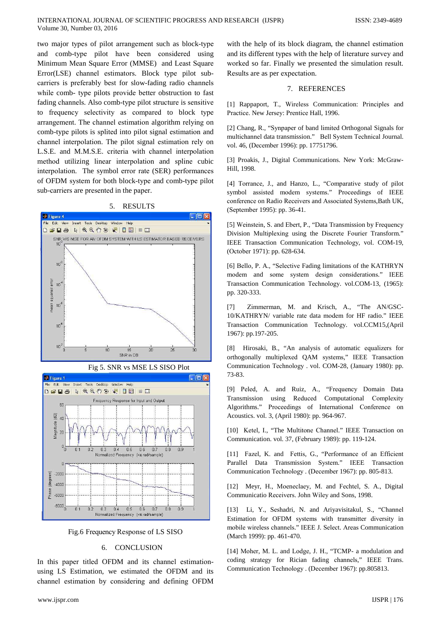two major types of pilot arrangement such as block-type and comb-type pilot have been considered using Minimum Mean Square Error (MMSE) and Least Square Error(LSE) channel estimators. Block type pilot subcarriers is preferably best for slow-fading radio channels while comb- type pilots provide better obstruction to fast fading channels. Also comb-type pilot structure is sensitive to frequency selectivity as compared to block type arrangement. The channel estimation algorithm relying on comb-type pilots is splited into pilot signal estimation and channel interpolation. The pilot signal estimation rely on L.S.E. and M.M.S.E. criteria with channel interpolation method utilizing linear interpolation and spline cubic interpolation. The symbol error rate (SER) performances of OFDM system for both block-type and comb-type pilot sub-carriers are presented in the paper.

> $5<sub>1</sub>$ **RESULTS**







Fig.6 Frequency Response of LS SISO

## 6. CONCLUSION

In this paper titled OFDM and its channel estimationusing LS Estimation, we estimated the OFDM and its channel estimation by considering and defining OFDM

#### 7. REFERENCES

[1] Rappaport, T., Wireless Communication: Principles and Practice. New Jersey: Prentice Hall, 1996.

[2] Chang, R., "Synpaper of band limited Orthogonal Signals for multichannel data transmission." Bell System Technical Journal. vol. 46, (December 1996): pp. 17751796.

[3] Proakis, J., Digital Communications. New York: McGraw-Hill, 1998.

[4] Torrance, J., and Hanzo, L., "Comparative study of pilot symbol assisted modem systems." Proceedings of IEEE conference on Radio Receivers and Associated Systems, Bath UK, (September 1995): pp. 36-41.

[5] Weinstein, S. and Ebert, P., "Data Transmission by Frequency Division Multiplexing using the Discrete Fourier Transform." IEEE Transaction Communication Technology, vol. COM-19, (October 1971): pp. 628-634.

[6] Bello, P. A., "Selective Fading limitations of the KATHRYN modem and some system design considerations." IEEE Transaction Communication Technology. vol.COM-13, (1965): pp. 320-333.

Zimmerman, M. and Krisch, A., "The AN/GSC- $\lceil 7 \rceil$ 10/KATHRYN/ variable rate data modem for HF radio." IEEE Transaction Communication Technology. vol.CCM15,(April 1967): pp.197-205.

[8] Hirosaki, B., "An analysis of automatic equalizers for orthogonally multiplexed QAM systems," IEEE Transaction Communication Technology . vol. COM-28, (January 1980): pp. 73-83.

[9] Peled, A. and Ruiz, A., "Frequency Domain Data Transmission using Reduced Computational Complexity Algorithms." Proceedings of International Conference on Acoustics. vol. 3, (April 1980): pp. 964-967.

[10] Ketel, I., "The Multitone Channel." IEEE Transaction on Communication. vol. 37, (February 1989): pp. 119-124.

[11] Fazel, K. and Fettis, G., "Performance of an Efficient Parallel Data Transmission System." IEEE Transaction Communication Technology . (December 1967): pp. 805-813.

[12] Meyr, H., Moeneclaey, M. and Fechtel, S. A., Digital Communicatio Receivers. John Wiley and Sons, 1998.

[13] Li, Y., Seshadri, N. and Ariyavisitakul, S., "Channel Estimation for OFDM systems with transmitter diversity in mobile wireless channels." IEEE J. Select. Areas Communication (March 1999): pp. 461-470.

[14] Moher, M. L. and Lodge, J. H., "TCMP- a modulation and coding strategy for Rician fading channels," IEEE Trans. Communication Technology . (December 1967): pp.805813.